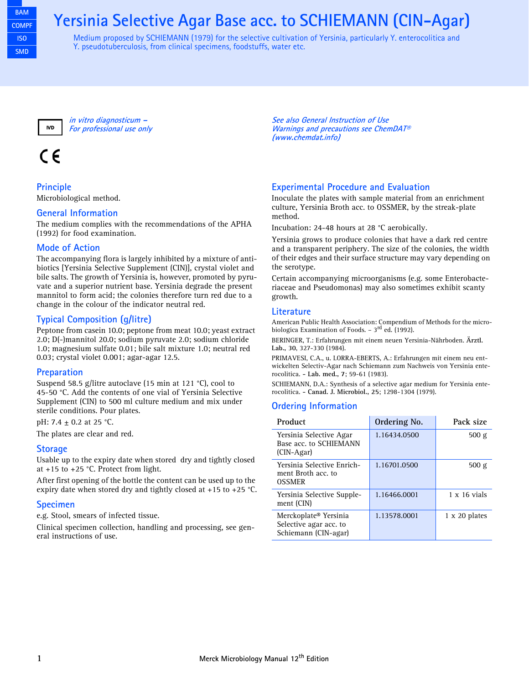## **Yersinia Selective Agar Base acc. to SCHIEMANN (CIN-Agar)**

Medium proposed by SCHIEMANN (1979) for the selective cultivation of Yersinia, particularly Y. enterocolitica and Y. pseudotuberculosis, from clinical specimens, foodstuffs, water etc.



**in vitro diagnosticum – For professional use only**

# CE

**Principle**

Microbiological method.

#### **General Information**

The medium complies with the recommendations of the APHA (1992) for food examination.

### **Mode of Action**

The accompanying flora is largely inhibited by a mixture of antibiotics [Yersinia Selective Supplement (CIN)], crystal violet and bile salts. The growth of Yersinia is, however, promoted by pyruvate and a superior nutrient base. Yersinia degrade the present mannitol to form acid; the colonies therefore turn red due to a change in the colour of the indicator neutral red.

## **Typical Composition (g/litre)**

Peptone from casein 10.0; peptone from meat 10.0; yeast extract 2.0; D(-)mannitol 20.0; sodium pyruvate 2.0; sodium chloride 1.0; magnesium sulfate 0.01; bile salt mixture 1.0; neutral red 0.03; crystal violet 0.001; agar-agar 12.5.

#### **Preparation**

Suspend 58.5 g/litre autoclave (15 min at 121 °C), cool to 45-50 °C. Add the contents of one vial of Yersinia Selective Supplement (CIN) to 500 ml culture medium and mix under sterile conditions. Pour plates.

pH: 7.4 ± 0.2 at 25 °C.

The plates are clear and red.

#### **Storage**

Usable up to the expiry date when stored dry and tightly closed at +15 to +25 °C. Protect from light.

After first opening of the bottle the content can be used up to the expiry date when stored dry and tightly closed at +15 to +25 °C.

#### **Specimen**

e.g. Stool, smears of infected tissue.

Clinical specimen collection, handling and processing, see general instructions of use.

**See also General Instruction of Use Warnings and precautions see ChemDAT® (www.chemdat.info)** 

## **Experimental Procedure and Evaluation**

Inoculate the plates with sample material from an enrichment culture, Yersinia Broth acc. to OSSMER, by the streak-plate method.

Incubation: 24-48 hours at 28 °C aerobically.

Yersinia grows to produce colonies that have a dark red centre and a transparent periphery. The size of the colonies, the width of their edges and their surface structure may vary depending on the serotype.

Certain accompanying microorganisms (e.g. some Enterobacteriaceae and Pseudomonas) may also sometimes exhibit scanty growth.

#### **Literature**

American Public Health Association: Compendium of Methods for the microbiologica Examination of Foods.  $-3<sup>rd</sup>$  ed. (1992).

BERINGER, T.: Erfahrungen mit einem neuen Yersinia-Nährboden. **Ärztl. Lab., 30**, 327-330 (1984).

PRIMAVESI, C.A., u. LORRA-EBERTS, A.: Erfahrungen mit einem neu entwickelten Selectiv-Agar nach Schiemann zum Nachweis von Yersinia enterocolitica. **- Lab. med., 7**; 59-61 (1983).

SCHIEMANN, D.A.: Synthesis of a selective agar medium for Yersinia enterocolitica. **- Canad. J. Microbiol., 25**; 1298-1304 (1979).

### **Ordering Information**

| Product                                                                             | Ordering No. | Pack size            |
|-------------------------------------------------------------------------------------|--------------|----------------------|
| Yersinia Selective Agar<br>Base acc. to SCHIEMANN<br>(CIN-Agar)                     | 1.16434.0500 | 500 g                |
| Yersinia Selective Enrich-<br>ment Broth acc. to<br><b>OSSMER</b>                   | 1.16701.0500 | 500 g                |
| Yersinia Selective Supple-<br>ment (CIN)                                            | 1.16466.0001 | $1 \times 16$ vials  |
| Merckoplate <sup>®</sup> Yersinia<br>Selective agar acc. to<br>Schiemann (CIN-agar) | 1.13578.0001 | $1 \times 20$ plates |